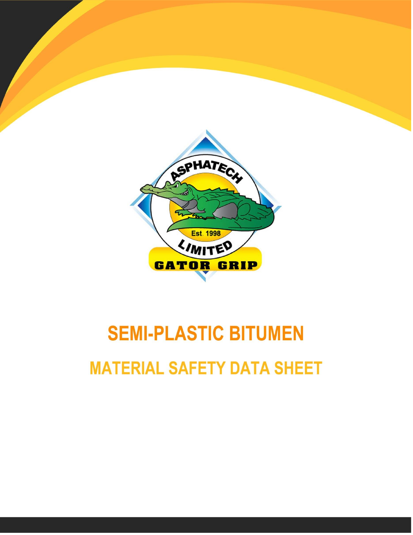

# **SEMI-PLASTIC BITUMEN MATERIAL SAFETY DATA SHEET**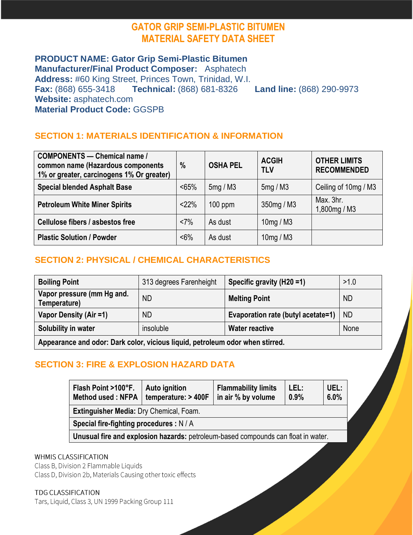## **GATOR GRIP SEMI-PLASTIC BITUMEN MATERIAL SAFETY DATA SHEET**

## **PRODUCT NAME: Gator Grip Semi-Plastic Bitumen**

**Manufacturer/Final Product Composer:** Asphatech **Address:** #60 King Street, Princes Town, Trinidad, W.I. **Fax:** (868) 655-3418 **Technical:** (868) 681-8326 **Land line:** (868) 290-9973 **Website:** asphatech.com **Material Product Code:** GGSPB

## **SECTION 1: MATERIALS IDENTIFICATION & INFORMATION**

| <b>COMPONENTS</b> - Chemical name /<br>common name (Hazardous components<br>1% or greater, carcinogens 1% Or greater) | $\%$    | <b>OSHA PEL</b> | <b>ACGIH</b><br><b>TLV</b> | <b>OTHER LIMITS</b><br><b>RECOMMENDED</b> |
|-----------------------------------------------------------------------------------------------------------------------|---------|-----------------|----------------------------|-------------------------------------------|
| <b>Special blended Asphalt Base</b>                                                                                   | < 65%   | 5mg/M3          | 5mg / M3                   | Ceiling of 10mg / M3                      |
| <b>Petroleum White Miner Spirits</b>                                                                                  | <22%    | $100$ ppm       | 350mg / M3                 | Max. 3hr.<br>1,800mg / M3                 |
| <b>Cellulose fibers / asbestos free</b>                                                                               | <7%     | As dust         | 10mg/M3                    |                                           |
| <b>Plastic Solution / Powder</b>                                                                                      | $< 6\%$ | As dust         | 10mg/M3                    |                                           |

## **SECTION 2: PHYSICAL / CHEMICAL CHARACTERISTICS**

| <b>Boiling Point</b>                                                          | 313 degrees Farenheight | Specific gravity (H20 =1)          | >1.0      |
|-------------------------------------------------------------------------------|-------------------------|------------------------------------|-----------|
| Vapor pressure (mm Hg and.<br>Temperature)                                    | <b>ND</b>               | <b>Melting Point</b>               | <b>ND</b> |
| Vapor Density (Air =1)                                                        | ND.                     | Evaporation rate (butyl acetate=1) | ND        |
| Solubility in water                                                           | insoluble               | <b>Water reactive</b>              | None      |
| Appearance and odor: Dark color, vicious liquid, petroleum odor when stirred. |                         |                                    |           |

## **SECTION 3: FIRE & EXPLOSION HAZARD DATA**

| Flash Point >100°F.<br><b>Method used: NFPA</b>                                   | Auto ignition<br>temperature: > 400F | <b>Flammability limits</b><br>in air % by volume | LEL:<br>0.9% | UEL:<br>6.0% |
|-----------------------------------------------------------------------------------|--------------------------------------|--------------------------------------------------|--------------|--------------|
| Extinguisher Media: Dry Chemical, Foam.                                           |                                      |                                                  |              |              |
| Special fire-fighting procedures : N / A                                          |                                      |                                                  |              |              |
| Unusual fire and explosion hazards: petroleum-based compounds can float in water. |                                      |                                                  |              |              |
|                                                                                   |                                      |                                                  |              |              |

#### **WHMIS CLASSIFICATION**

Class B, Division 2 Flammable Liquids Class D, Division 2b, Materials Causing other toxic effects

**TDG CLASSIFICATION** 

Tars, Liquid, Class 3, UN 1999 Packing Group 111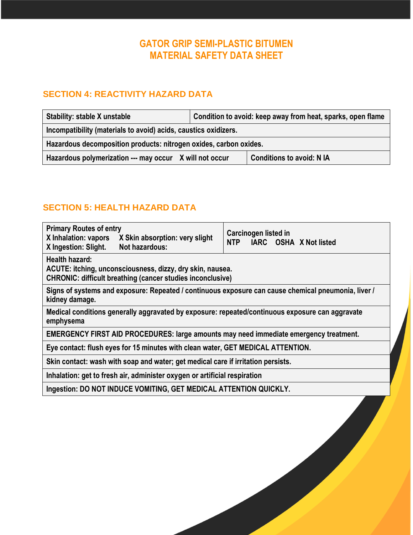# **GATOR GRIP SEMI-PLASTIC BITUMEN MATERIAL SAFETY DATA SHEET**

#### **SECTION 4: REACTIVITY HAZARD DATA**

| <b>Stability: stable X unstable</b>                               | Condition to avoid: keep away from heat, sparks, open flame |                                  |  |
|-------------------------------------------------------------------|-------------------------------------------------------------|----------------------------------|--|
| Incompatibility (materials to avoid) acids, caustics oxidizers.   |                                                             |                                  |  |
| Hazardous decomposition products: nitrogen oxides, carbon oxides. |                                                             |                                  |  |
| Hazardous polymerization --- may occur X will not occur           |                                                             | <b>Conditions to avoid: N IA</b> |  |

## **SECTION 5: HEALTH HAZARD DATA**

| <b>Primary Routes of entry</b><br>X Inhalation: vapors<br>X Skin absorption: very slight<br>Not hazardous:<br>X Ingestion: Slight.               | <b>Carcinogen listed in</b><br><b>NTP</b><br>IARC OSHA X Not listed |  |  |
|--------------------------------------------------------------------------------------------------------------------------------------------------|---------------------------------------------------------------------|--|--|
| Health hazard:<br>ACUTE: itching, unconsciousness, dizzy, dry skin, nausea.<br><b>CHRONIC: difficult breathing (cancer studies inconclusive)</b> |                                                                     |  |  |
| Signs of systems and exposure: Repeated / continuous exposure can cause chemical pneumonia, liver /<br>kidney damage.                            |                                                                     |  |  |
| Medical conditions generally aggravated by exposure: repeated/continuous exposure can aggravate<br>emphysema                                     |                                                                     |  |  |
| <b>EMERGENCY FIRST AID PROCEDURES: large amounts may need immediate emergency treatment.</b>                                                     |                                                                     |  |  |
| Eye contact: flush eyes for 15 minutes with clean water, GET MEDICAL ATTENTION.                                                                  |                                                                     |  |  |
| Skin contact: wash with soap and water; get medical care if irritation persists.                                                                 |                                                                     |  |  |
| Inhalation: get to fresh air, administer oxygen or artificial respiration                                                                        |                                                                     |  |  |
| Ingestion: DO NOT INDUCE VOMITING, GET MEDICAL ATTENTION QUICKLY.                                                                                |                                                                     |  |  |